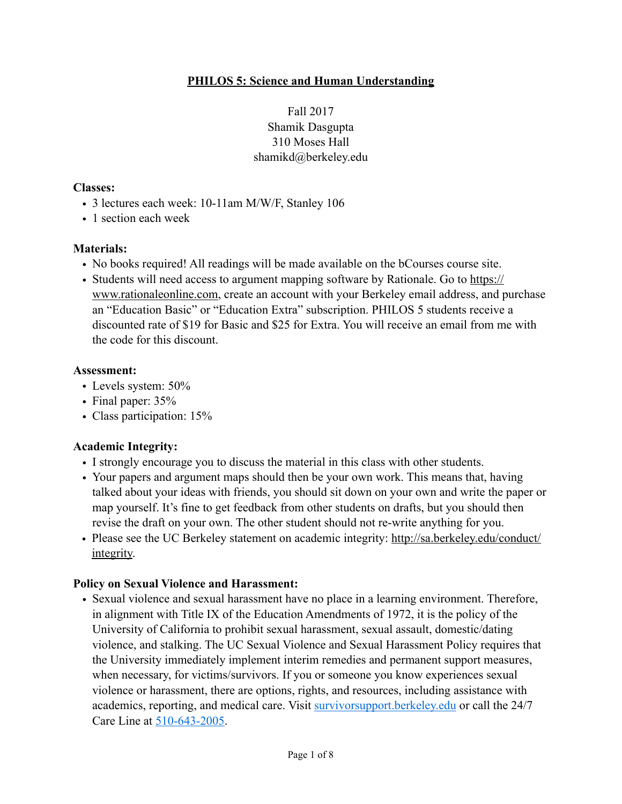## **PHILOS 5: Science and Human Understanding**

Fall 2017 Shamik Dasgupta 310 Moses Hall shamikd@berkeley.edu

#### **Classes:**

- 3 lectures each week: 10-11am M/W/F, Stanley 106
- 1 section each week

### **Materials:**

- No books required! All readings will be made available on the bCourses course site.
- [Students will need access to argument mapping software by Rationale. Go to https://](https://www.rationaleonline.com) www.rationaleonline.com, create an account with your Berkeley email address, and purchase an "Education Basic" or "Education Extra" subscription. PHILOS 5 students receive a discounted rate of \$19 for Basic and \$25 for Extra. You will receive an email from me with the code for this discount.

#### **Assessment:**

- Levels system: 50%
- Final paper: 35%
- Class participation: 15%

## **Academic Integrity:**

- I strongly encourage you to discuss the material in this class with other students.
- Your papers and argument maps should then be your own work. This means that, having talked about your ideas with friends, you should sit down on your own and write the paper or map yourself. It's fine to get feedback from other students on drafts, but you should then revise the draft on your own. The other student should not re-write anything for you.
- [Please see the UC Berkeley statement on academic integrity: http://sa.berkeley.edu/conduct/](http://sa.berkeley.edu/conduct/integrity) integrity.

#### **Policy on Sexual Violence and Harassment:**

• Sexual violence and sexual harassment have no place in a learning environment. Therefore, in alignment with Title IX of the Education Amendments of 1972, it is the policy of the University of California to prohibit sexual harassment, sexual assault, domestic/dating violence, and stalking. The UC Sexual Violence and Sexual Harassment Policy requires that the University immediately implement interim remedies and permanent support measures, when necessary, for victims/survivors. If you or someone you know experiences sexual violence or harassment, there are options, rights, and resources, including assistance with academics, reporting, and medical care. Visit [survivorsupport.berkeley.edu](http://survivorsupport.berkeley.edu/) or call the 24/7 Care Line at 510-643-2005.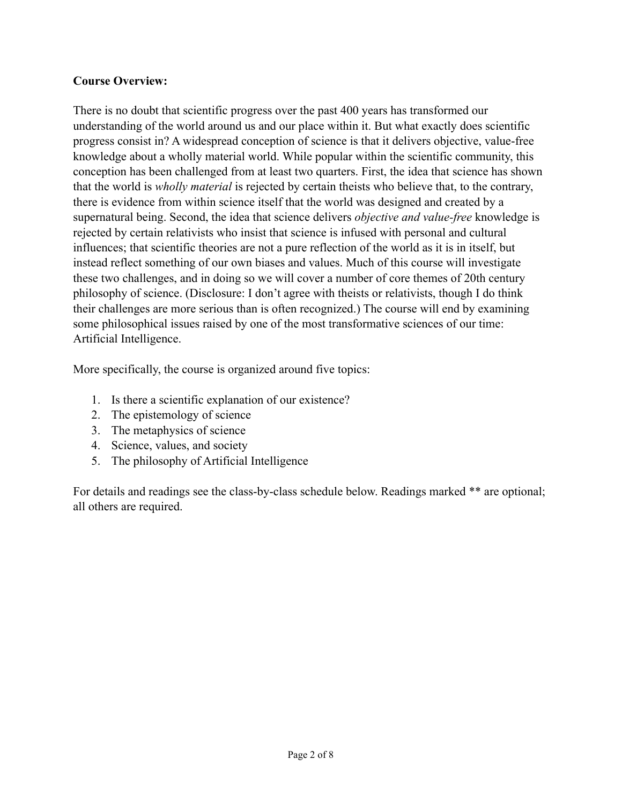## **Course Overview:**

There is no doubt that scientific progress over the past 400 years has transformed our understanding of the world around us and our place within it. But what exactly does scientific progress consist in? A widespread conception of science is that it delivers objective, value-free knowledge about a wholly material world. While popular within the scientific community, this conception has been challenged from at least two quarters. First, the idea that science has shown that the world is *wholly material* is rejected by certain theists who believe that, to the contrary, there is evidence from within science itself that the world was designed and created by a supernatural being. Second, the idea that science delivers *objective and value-free* knowledge is rejected by certain relativists who insist that science is infused with personal and cultural influences; that scientific theories are not a pure reflection of the world as it is in itself, but instead reflect something of our own biases and values. Much of this course will investigate these two challenges, and in doing so we will cover a number of core themes of 20th century philosophy of science. (Disclosure: I don't agree with theists or relativists, though I do think their challenges are more serious than is often recognized.) The course will end by examining some philosophical issues raised by one of the most transformative sciences of our time: Artificial Intelligence.

More specifically, the course is organized around five topics:

- 1. Is there a scientific explanation of our existence?
- 2. The epistemology of science
- 3. The metaphysics of science
- 4. Science, values, and society
- 5. The philosophy of Artificial Intelligence

For details and readings see the class-by-class schedule below. Readings marked \*\* are optional; all others are required.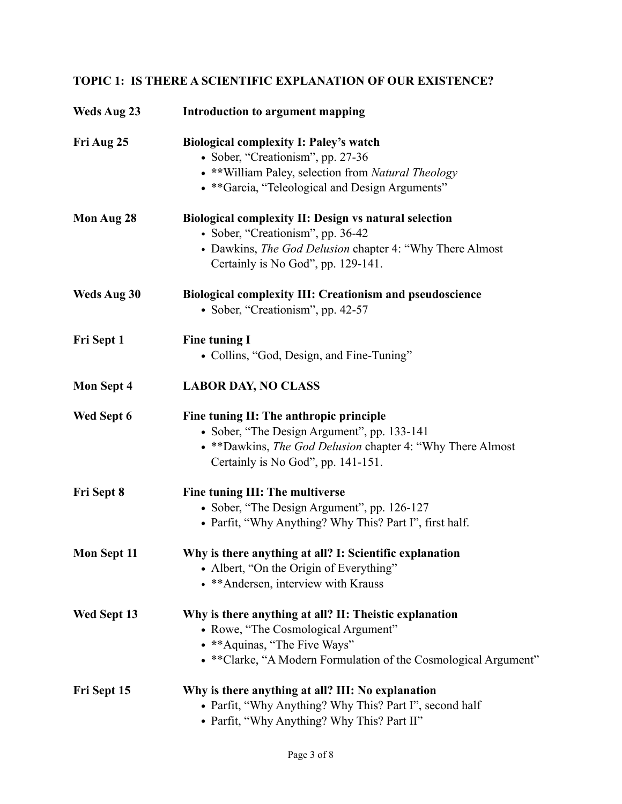# **TOPIC 1: IS THERE A SCIENTIFIC EXPLANATION OF OUR EXISTENCE?**

| Weds Aug 23 | Introduction to argument mapping                                 |
|-------------|------------------------------------------------------------------|
| Fri Aug 25  | <b>Biological complexity I: Paley's watch</b>                    |
|             | • Sober, "Creationism", pp. 27-36                                |
|             | • ** William Paley, selection from Natural Theology              |
|             | • ** Garcia, "Teleological and Design Arguments"                 |
| Mon Aug 28  | <b>Biological complexity II: Design vs natural selection</b>     |
|             | • Sober, "Creationism", pp. 36-42                                |
|             | • Dawkins, The God Delusion chapter 4: "Why There Almost         |
|             | Certainly is No God", pp. 129-141.                               |
| Weds Aug 30 | <b>Biological complexity III: Creationism and pseudoscience</b>  |
|             | • Sober, "Creationism", pp. 42-57                                |
| Fri Sept 1  | <b>Fine tuning I</b>                                             |
|             | • Collins, "God, Design, and Fine-Tuning"                        |
| Mon Sept 4  | <b>LABOR DAY, NO CLASS</b>                                       |
| Wed Sept 6  | Fine tuning II: The anthropic principle                          |
|             | • Sober, "The Design Argument", pp. 133-141                      |
|             | • ** Dawkins, The God Delusion chapter 4: "Why There Almost      |
|             | Certainly is No God", pp. 141-151.                               |
| Fri Sept 8  | Fine tuning III: The multiverse                                  |
|             | • Sober, "The Design Argument", pp. 126-127                      |
|             | • Parfit, "Why Anything? Why This? Part I", first half.          |
| Mon Sept 11 | Why is there anything at all? I: Scientific explanation          |
|             | • Albert, "On the Origin of Everything"                          |
|             | • ** Andersen, interview with Krauss                             |
| Wed Sept 13 | Why is there anything at all? II: Theistic explanation           |
|             | • Rowe, "The Cosmological Argument"                              |
|             | • ** Aquinas, "The Five Ways"                                    |
|             | • ** Clarke, "A Modern Formulation of the Cosmological Argument" |
| Fri Sept 15 | Why is there anything at all? III: No explanation                |
|             | • Parfit, "Why Anything? Why This? Part I", second half          |
|             | • Parfit, "Why Anything? Why This? Part II"                      |
|             |                                                                  |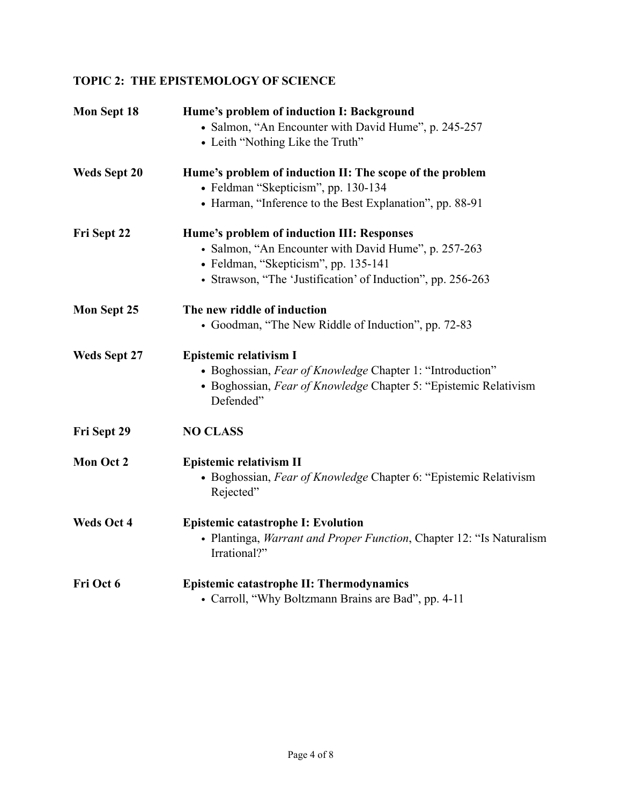# **TOPIC 2: THE EPISTEMOLOGY OF SCIENCE**

| Mon Sept 18         | Hume's problem of induction I: Background<br>• Salmon, "An Encounter with David Hume", p. 245-257<br>• Leith "Nothing Like the Truth"                                                                     |
|---------------------|-----------------------------------------------------------------------------------------------------------------------------------------------------------------------------------------------------------|
| <b>Weds Sept 20</b> | Hume's problem of induction II: The scope of the problem<br>• Feldman "Skepticism", pp. 130-134<br>• Harman, "Inference to the Best Explanation", pp. 88-91                                               |
| Fri Sept 22         | Hume's problem of induction III: Responses<br>• Salmon, "An Encounter with David Hume", p. 257-263<br>• Feldman, "Skepticism", pp. 135-141<br>• Strawson, "The 'Justification' of Induction", pp. 256-263 |
| Mon Sept 25         | The new riddle of induction<br>• Goodman, "The New Riddle of Induction", pp. 72-83                                                                                                                        |
| <b>Weds Sept 27</b> | <b>Epistemic relativism I</b><br>• Boghossian, Fear of Knowledge Chapter 1: "Introduction"<br>• Boghossian, Fear of Knowledge Chapter 5: "Epistemic Relativism"<br>Defended"                              |
| Fri Sept 29         | <b>NO CLASS</b>                                                                                                                                                                                           |
| Mon Oct 2           | Epistemic relativism II<br>• Boghossian, Fear of Knowledge Chapter 6: "Epistemic Relativism"<br>Rejected"                                                                                                 |
| <b>Weds Oct 4</b>   | <b>Epistemic catastrophe I: Evolution</b><br>• Plantinga, <i>Warrant and Proper Function</i> , Chapter 12: "Is Naturalism<br>Irrational?"                                                                 |
| Fri Oct 6           | Epistemic catastrophe II: Thermodynamics<br>• Carroll, "Why Boltzmann Brains are Bad", pp. 4-11                                                                                                           |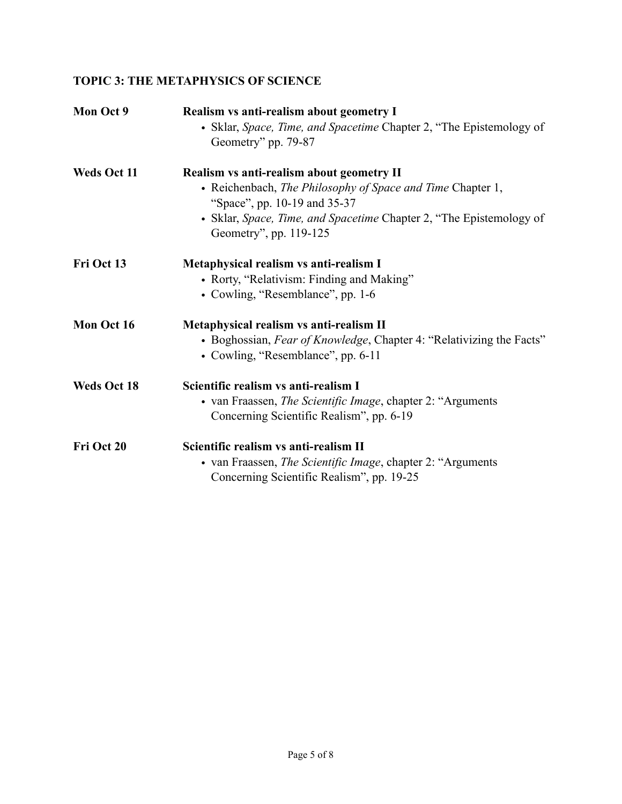# **TOPIC 3: THE METAPHYSICS OF SCIENCE**

| Mon Oct 9          | Realism vs anti-realism about geometry I                                                      |
|--------------------|-----------------------------------------------------------------------------------------------|
|                    | • Sklar, Space, Time, and Spacetime Chapter 2, "The Epistemology of<br>Geometry" pp. 79-87    |
|                    |                                                                                               |
| Weds Oct 11        | Realism vs anti-realism about geometry II                                                     |
|                    | • Reichenbach, The Philosophy of Space and Time Chapter 1,                                    |
|                    | "Space", pp. 10-19 and 35-37                                                                  |
|                    | • Sklar, Space, Time, and Spacetime Chapter 2, "The Epistemology of<br>Geometry", pp. 119-125 |
| Fri Oct 13         | Metaphysical realism vs anti-realism I                                                        |
|                    | • Rorty, "Relativism: Finding and Making"                                                     |
|                    | • Cowling, "Resemblance", pp. 1-6                                                             |
| Mon Oct 16         | Metaphysical realism vs anti-realism II                                                       |
|                    | • Boghossian, Fear of Knowledge, Chapter 4: "Relativizing the Facts"                          |
|                    | • Cowling, "Resemblance", pp. 6-11                                                            |
| <b>Weds Oct 18</b> | Scientific realism vs anti-realism I                                                          |
|                    | • van Fraassen, <i>The Scientific Image</i> , chapter 2: "Arguments"                          |
|                    | Concerning Scientific Realism", pp. 6-19                                                      |
| Fri Oct 20         | Scientific realism vs anti-realism II                                                         |
|                    | • van Fraassen, The Scientific Image, chapter 2: "Arguments                                   |
|                    | Concerning Scientific Realism", pp. 19-25                                                     |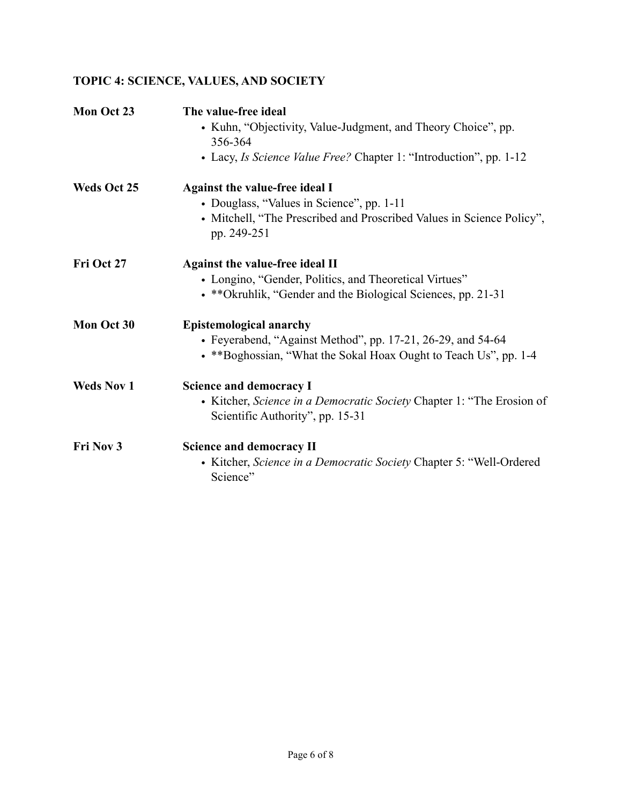# **TOPIC 4: SCIENCE, VALUES, AND SOCIETY**

| Mon Oct 23         | The value-free ideal                                                                 |
|--------------------|--------------------------------------------------------------------------------------|
|                    | • Kuhn, "Objectivity, Value-Judgment, and Theory Choice", pp.                        |
|                    | 356-364                                                                              |
|                    | • Lacy, Is Science Value Free? Chapter 1: "Introduction", pp. 1-12                   |
| <b>Weds Oct 25</b> | Against the value-free ideal I                                                       |
|                    | • Douglass, "Values in Science", pp. 1-11                                            |
|                    | • Mitchell, "The Prescribed and Proscribed Values in Science Policy",<br>pp. 249-251 |
| Fri Oct 27         | <b>Against the value-free ideal II</b>                                               |
|                    | • Longino, "Gender, Politics, and Theoretical Virtues"                               |
|                    | • **Okruhlik, "Gender and the Biological Sciences, pp. 21-31                         |
| Mon Oct 30         | <b>Epistemological anarchy</b>                                                       |
|                    | • Feyerabend, "Against Method", pp. 17-21, 26-29, and 54-64                          |
|                    | • **Boghossian, "What the Sokal Hoax Ought to Teach Us", pp. 1-4                     |
| <b>Weds Nov 1</b>  | <b>Science and democracy I</b>                                                       |
|                    | • Kitcher, Science in a Democratic Society Chapter 1: "The Erosion of                |
|                    | Scientific Authority", pp. 15-31                                                     |
| Fri Nov 3          | <b>Science and democracy II</b>                                                      |
|                    | • Kitcher, Science in a Democratic Society Chapter 5: "Well-Ordered                  |
|                    | Science"                                                                             |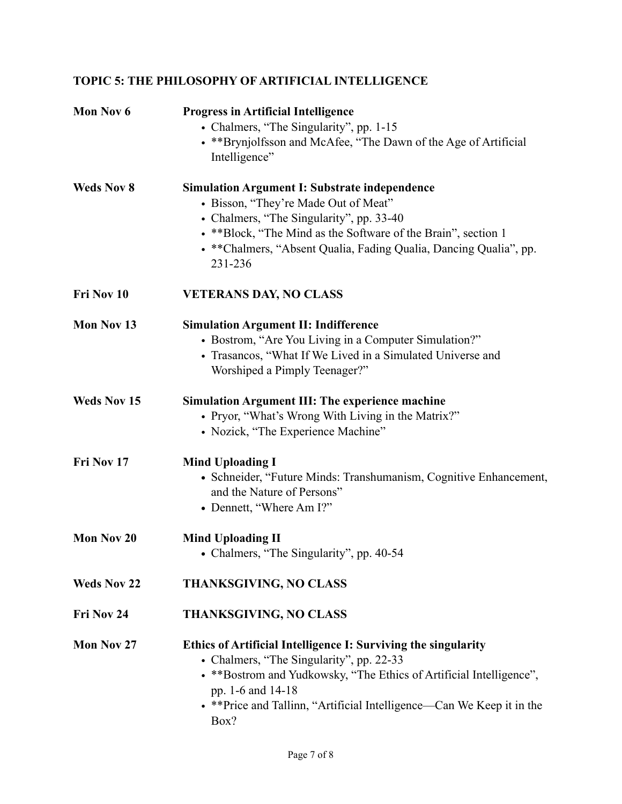# **TOPIC 5: THE PHILOSOPHY OF ARTIFICIAL INTELLIGENCE**

| Mon Nov 6          | <b>Progress in Artificial Intelligence</b>                             |
|--------------------|------------------------------------------------------------------------|
|                    | • Chalmers, "The Singularity", pp. 1-15                                |
|                    | • ** Brynjolfsson and McAfee, "The Dawn of the Age of Artificial       |
|                    | Intelligence"                                                          |
| <b>Weds Nov 8</b>  | <b>Simulation Argument I: Substrate independence</b>                   |
|                    | • Bisson, "They're Made Out of Meat"                                   |
|                    | • Chalmers, "The Singularity", pp. 33-40                               |
|                    | • ** Block, "The Mind as the Software of the Brain", section 1         |
|                    | • **Chalmers, "Absent Qualia, Fading Qualia, Dancing Qualia", pp.      |
|                    | 231-236                                                                |
| Fri Nov 10         | <b>VETERANS DAY, NO CLASS</b>                                          |
| Mon Nov 13         | <b>Simulation Argument II: Indifference</b>                            |
|                    | • Bostrom, "Are You Living in a Computer Simulation?"                  |
|                    | • Trasancos, "What If We Lived in a Simulated Universe and             |
|                    | Worshiped a Pimply Teenager?"                                          |
| <b>Weds Nov 15</b> | <b>Simulation Argument III: The experience machine</b>                 |
|                    | • Pryor, "What's Wrong With Living in the Matrix?"                     |
|                    | • Nozick, "The Experience Machine"                                     |
| Fri Nov 17         | <b>Mind Uploading I</b>                                                |
|                    | • Schneider, "Future Minds: Transhumanism, Cognitive Enhancement,      |
|                    | and the Nature of Persons"                                             |
|                    | • Dennett, "Where Am I?"                                               |
| Mon Nov 20         | <b>Mind Uploading II</b>                                               |
|                    | • Chalmers, "The Singularity", pp. 40-54                               |
|                    |                                                                        |
| <b>Weds Nov 22</b> | <b>THANKSGIVING, NO CLASS</b>                                          |
| Fri Nov 24         | <b>THANKSGIVING, NO CLASS</b>                                          |
| Mon Nov 27         | Ethics of Artificial Intelligence I: Surviving the singularity         |
|                    | • Chalmers, "The Singularity", pp. 22-33                               |
|                    | • ** Bostrom and Yudkowsky, "The Ethics of Artificial Intelligence",   |
|                    | pp. 1-6 and 14-18                                                      |
|                    | • ** Price and Tallinn, "Artificial Intelligence—Can We Keep it in the |
|                    | Box?                                                                   |